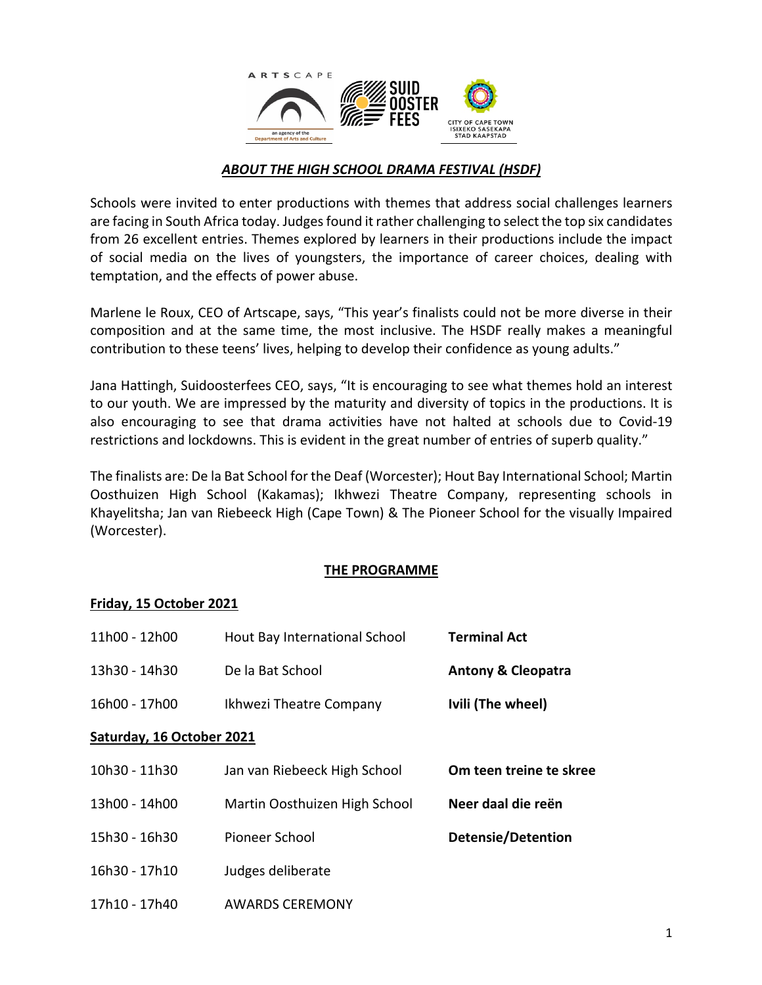

# *ABOUT THE HIGH SCHOOL DRAMA FESTIVAL (HSDF)*

Schools were invited to enter productions with themes that address social challenges learners are facing in South Africa today. Judges found it rather challenging to select the top six candidates from 26 excellent entries. Themes explored by learners in their productions include the impact of social media on the lives of youngsters, the importance of career choices, dealing with temptation, and the effects of power abuse.

Marlene le Roux, CEO of Artscape, says, "This year's finalists could not be more diverse in their composition and at the same time, the most inclusive. The HSDF really makes a meaningful contribution to these teens' lives, helping to develop their confidence as young adults."

Jana Hattingh, Suidoosterfees CEO, says, "It is encouraging to see what themes hold an interest to our youth. We are impressed by the maturity and diversity of topics in the productions. It is also encouraging to see that drama activities have not halted at schools due to Covid-19 restrictions and lockdowns. This is evident in the great number of entries of superb quality."

The finalists are: De la Bat School for the Deaf (Worcester); Hout Bay International School; Martin Oosthuizen High School (Kakamas); Ikhwezi Theatre Company, representing schools in Khayelitsha; Jan van Riebeeck High (Cape Town) & The Pioneer School for the visually Impaired (Worcester).

#### **THE PROGRAMME**

#### **Friday, 15 October 2021**

| 11h00 - 12h00             | Hout Bay International School | <b>Terminal Act</b>           |
|---------------------------|-------------------------------|-------------------------------|
| 13h30 - 14h30             | De la Bat School              | <b>Antony &amp; Cleopatra</b> |
| 16h00 - 17h00             | Ikhwezi Theatre Company       | Ivili (The wheel)             |
| Saturday, 16 October 2021 |                               |                               |
| 10h30 - 11h30             | Jan van Riebeeck High School  | Om teen treine te skree       |
| 13h00 - 14h00             | Martin Oosthuizen High School | Neer daal die reën            |
| 15h30 - 16h30             | Pioneer School                | <b>Detensie/Detention</b>     |
| 16h30 - 17h10             | Judges deliberate             |                               |
| 17h10 - 17h40             | <b>AWARDS CEREMONY</b>        |                               |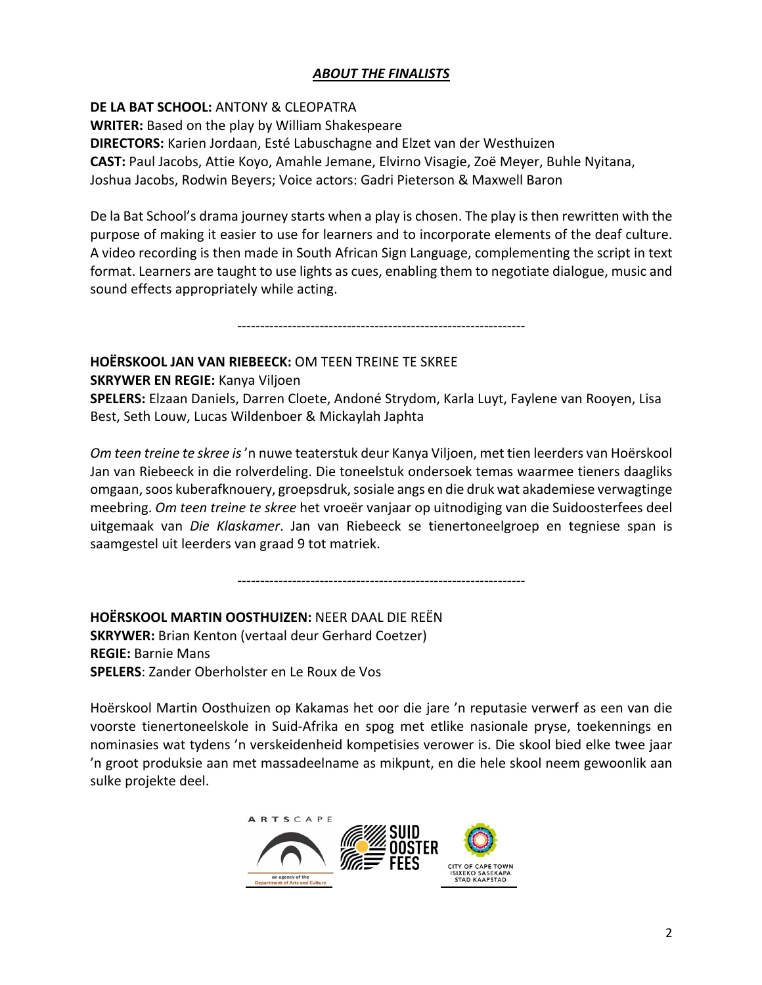### *ABOUT THE FINALISTS*

**DE LA BAT SCHOOL:** ANTONY & CLEOPATRA **WRITER:** Based on the play by William Shakespeare **DIRECTORS:** Karien Jordaan, Esté Labuschagne and Elzet van der Westhuizen **CAST:** Paul Jacobs, Attie Koyo, Amahle Jemane, Elvirno Visagie, Zoë Meyer, Buhle Nyitana, Joshua Jacobs, Rodwin Beyers; Voice actors: Gadri Pieterson & Maxwell Baron

De la Bat School's drama journey starts when a play is chosen. The play is then rewritten with the purpose of making it easier to use for learners and to incorporate elements of the deaf culture. A video recording is then made in South African Sign Language, complementing the script in text format. Learners are taught to use lights as cues, enabling them to negotiate dialogue, music and sound effects appropriately while acting.

---------------------------------------------------------------

#### **HOËRSKOOL JAN VAN RIEBEECK:** OM TEEN TREINE TE SKREE

**SKRYWER EN REGIE:** Kanya Viljoen

**SPELERS:** Elzaan Daniels, Darren Cloete, Andoné Strydom, Karla Luyt, Faylene van Rooyen, Lisa Best, Seth Louw, Lucas Wildenboer & Mickaylah Japhta

*Om teen treine te skree is*'n nuwe teaterstuk deur Kanya Viljoen, met tien leerders van Hoërskool Jan van Riebeeck in die rolverdeling. Die toneelstuk ondersoek temas waarmee tieners daagliks omgaan, soos kuberafknouery, groepsdruk, sosiale angs en die druk wat akademiese verwagtinge meebring. *Om teen treine te skree* het vroeër vanjaar op uitnodiging van die Suidoosterfees deel uitgemaak van *Die Klaskamer*. Jan van Riebeeck se tienertoneelgroep en tegniese span is saamgestel uit leerders van graad 9 tot matriek.

---------------------------------------------------------------

**HOËRSKOOL MARTIN OOSTHUIZEN:** NEER DAAL DIE REËN **SKRYWER:** Brian Kenton (vertaal deur Gerhard Coetzer) **REGIE:** Barnie Mans **SPELERS**: Zander Oberholster en Le Roux de Vos

Hoërskool Martin Oosthuizen op Kakamas het oor die jare 'n reputasie verwerf as een van die voorste tienertoneelskole in Suid-Afrika en spog met etlike nasionale pryse, toekennings en nominasies wat tydens 'n verskeidenheid kompetisies verower is. Die skool bied elke twee jaar 'n groot produksie aan met massadeelname as mikpunt, en die hele skool neem gewoonlik aan sulke projekte deel.

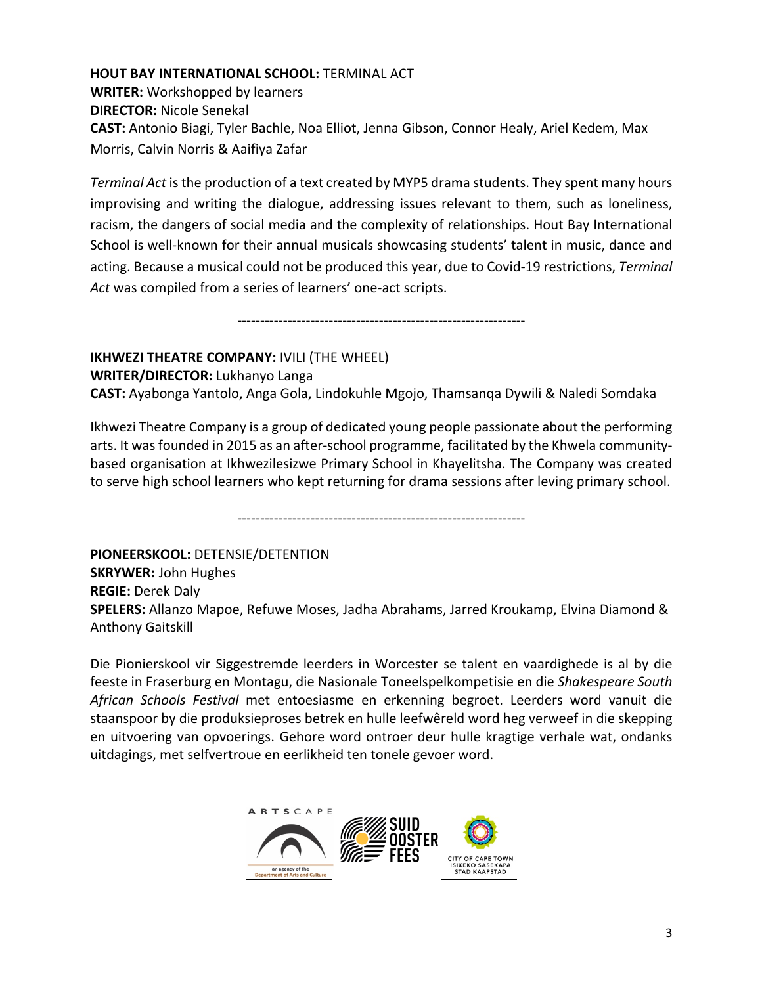# **HOUT BAY INTERNATIONAL SCHOOL:** TERMINAL ACT

**WRITER:** Workshopped by learners **DIRECTOR:** Nicole Senekal **CAST:** Antonio Biagi, Tyler Bachle, Noa Elliot, Jenna Gibson, Connor Healy, Ariel Kedem, Max Morris, Calvin Norris & Aaifiya Zafar

*Terminal Act* is the production of a text created by MYP5 drama students. They spent many hours improvising and writing the dialogue, addressing issues relevant to them, such as loneliness, racism, the dangers of social media and the complexity of relationships. Hout Bay International School is well-known for their annual musicals showcasing students' talent in music, dance and acting. Because a musical could not be produced this year, due to Covid-19 restrictions, *Terminal Act* was compiled from a series of learners' one-act scripts.

---------------------------------------------------------------

# **IKHWEZI THEATRE COMPANY:** IVILI (THE WHEEL)

**WRITER/DIRECTOR:** Lukhanyo Langa

**CAST:** Ayabonga Yantolo, Anga Gola, Lindokuhle Mgojo, Thamsanqa Dywili & Naledi Somdaka

Ikhwezi Theatre Company is a group of dedicated young people passionate about the performing arts. It was founded in 2015 as an after-school programme, facilitated by the Khwela communitybased organisation at Ikhwezilesizwe Primary School in Khayelitsha. The Company was created to serve high school learners who kept returning for drama sessions after leving primary school.

---------------------------------------------------------------

**PIONEERSKOOL:** DETENSIE/DETENTION **SKRYWER:** John Hughes **REGIE:** Derek Daly **SPELERS:** Allanzo Mapoe, Refuwe Moses, Jadha Abrahams, Jarred Kroukamp, Elvina Diamond & Anthony Gaitskill

Die Pionierskool vir Siggestremde leerders in Worcester se talent en vaardighede is al by die feeste in Fraserburg en Montagu, die Nasionale Toneelspelkompetisie en die *Shakespeare South African Schools Festival* met entoesiasme en erkenning begroet. Leerders word vanuit die staanspoor by die produksieproses betrek en hulle leefwêreld word heg verweef in die skepping en uitvoering van opvoerings. Gehore word ontroer deur hulle kragtige verhale wat, ondanks uitdagings, met selfvertroue en eerlikheid ten tonele gevoer word.